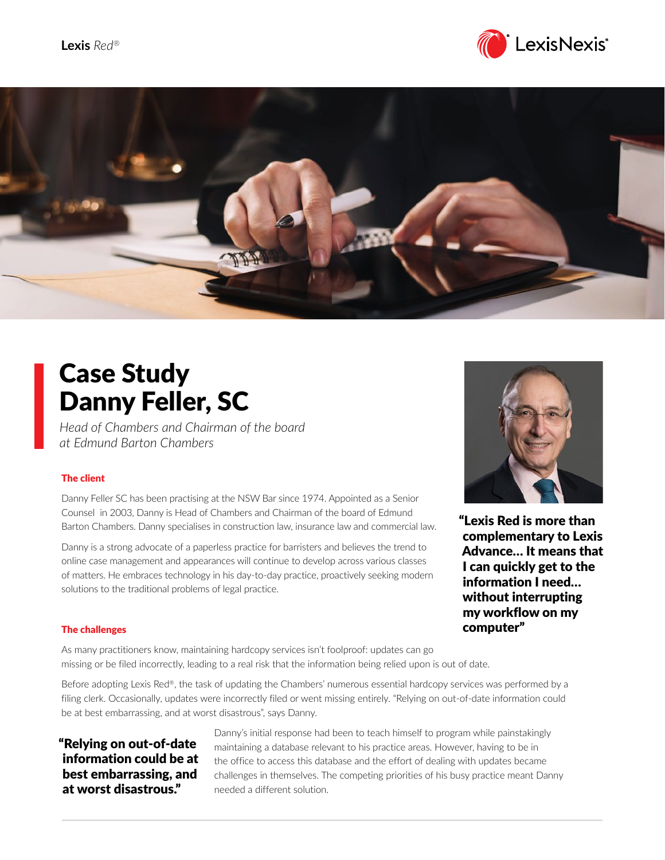



# Case Study Danny Feller, SC

*Head of Chambers and Chairman of the board at Edmund Barton Chambers*

## The client

Danny Feller SC has been practising at the NSW Bar since 1974. Appointed as a Senior Counsel in 2003, Danny is Head of Chambers and Chairman of the board of Edmund Barton Chambers. Danny specialises in construction law, insurance law and commercial law.

Danny is a strong advocate of a paperless practice for barristers and believes the trend to online case management and appearances will continue to develop across various classes of matters. He embraces technology in his day-to-day practice, proactively seeking modern solutions to the traditional problems of legal practice.



"Lexis Red is more than complementary to Lexis Advance… It means that I can quickly get to the information I need… without interrupting my workflow on my computer"

#### The challenges

As many practitioners know, maintaining hardcopy services isn't foolproof: updates can go missing or be filed incorrectly, leading to a real risk that the information being relied upon is out of date.

Before adopting Lexis Red®, the task of updating the Chambers' numerous essential hardcopy services was performed by a filing clerk. Occasionally, updates were incorrectly filed or went missing entirely. "Relying on out-of-date information could be at best embarrassing, and at worst disastrous", says Danny.

"Relying on out-of-date information could be at best embarrassing, and at worst disastrous."

Danny's initial response had been to teach himself to program while painstakingly maintaining a database relevant to his practice areas. However, having to be in the office to access this database and the effort of dealing with updates became challenges in themselves. The competing priorities of his busy practice meant Danny needed a different solution.